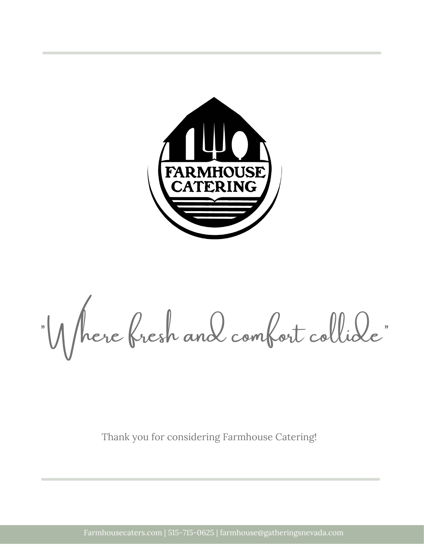

"Where fresh and comfort collide "

Thank you for considering Farmhouse Catering!

Farmhousecaters.com | 515-715-0625 | farmhouse@gatheringsnevada.com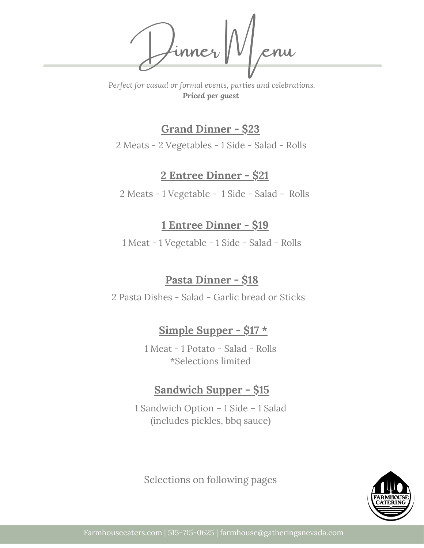Dinner Menu

*Perfect for casual or formal events, parties and celebrations. Priced per guest*

### **Grand Dinner - \$23**

2 Meats - 2 Vegetables - 1 Side - Salad - Rolls

### **2 Entree Dinner - \$21**

2 Meats - 1 Vegetable - 1 Side - Salad - Rolls

### **1 Entree Dinner - \$19**

1 Meat - 1 Vegetable - 1 Side - Salad - Rolls

### **Pasta Dinner - \$18**

2 Pasta Dishes - Salad - Garlic bread or Sticks

### **Simple Supper - \$17 \***

1 Meat - 1 Potato - Salad - Rolls \*Selections limited

### **Sandwich Supper - \$15**

1 Sandwich Option – 1 Side – 1 Salad (includes pickles, bbq sauce)

Selections on following pages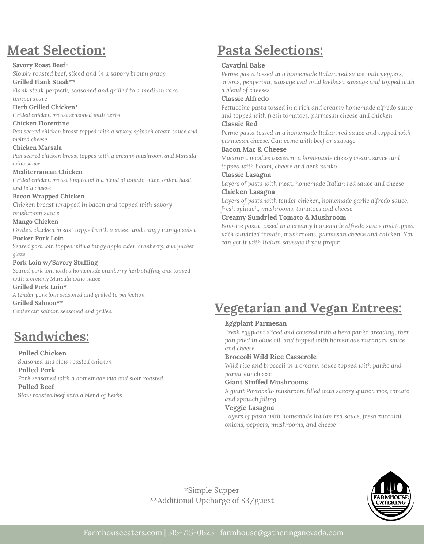# **Meat Selection:**

#### **Savory Roast Beef\***

*Slowly roasted beef, sliced and in a savory brown gravy*

#### **Grilled Flank Steak\*\***

*Flank steak perfectly seasoned and grilled to a medium rare temperature*

#### **Herb Grilled Chicken\***

*Grilled chicken breast seasoned with herbs*

#### **Chicken Florentine**

*Pan seared chicken breast topped with a savory spinach cream sauce and melted cheese*

#### **Chicken Marsala**

*Pan seared chicken breast topped with a creamy mushroom and Marsala wine sauce*

#### **Mediterranean Chicken**

*Grilled chicken breast topped with a blend of tomato, olive, onion, basil, and feta cheese*

#### **Bacon Wrapped Chicken**

*Chicken breast wrapped in bacon and topped with savory mushroom sauce*

#### **Mango Chicken**

*Grilled chicken breast topped with a sweet and tangy mango salsa* **Pucker Pork Loin**

*Seared pork loin topped with a tangy apple cider, cranberry, and pucker glaze*

#### **Pork Loin w/Savory Stuffing**

*Seared pork loin with a homemade cranberry herb stuffing and topped with a creamy Marsala wine sauce*

#### **Grilled Pork Loin\***

*A tender pork loin seasoned and grilled to perfection* **Grilled Salmon\*\*** *Center cut salmon seasoned and grilled*

# **Sandwiches:**

**Pulled Chicken** *Seasoned and slow roasted chicken*

**Pulled Pork** *Pork seasoned with a homemade rub and slow roasted* **Pulled Beef S***low roasted beef with a blend of herbs*

# **Pasta Selections:**

#### **Cavatini Bake**

*Penne pasta tossed in a homemade Italian red sauce with peppers, onions, pepperoni, sausage and mild kielbasa sausage and topped with a blend of cheeses*

#### **Classic Alfredo**

F*ettuccine pasta tossed in a rich and creamy homemade alfredo sauce and topped with fresh tomatoes, parmesan cheese and chicken*

#### **Classic Red**

*Penne pasta tossed in a homemade Italian red sauce and topped with parmesan cheese. Can come with beef or sausage*

#### **Bacon Mac & Cheese**

*Macaroni noodles tossed in a homemade cheesy cream sauce and topped with bacon, cheese and herb panko*

#### **Classic Lasagna**

*Layers of pasta with meat, homemade Italian red sauce and cheese* **Chicken Lasagna**

*Layers of pasta with tender chicken, homemade garlic alfredo sauce, fresh spinach, mushrooms, tomatoes and cheese*

#### **Creamy Sundried Tomato & Mushroom**

*Bow-tie pasta tossed in a creamy homemade alfredo sauce and topped with sundried tomato, mushrooms, parmesan cheese and chicken. You can get it with Italian sausage if you prefer*

# **Vegetarian and Vegan Entrees:**

#### **Eggplant Parmesan**

*Fresh eggplant sliced and covered with a herb panko breading, then pan fried in olive oil, and topped with homemade marinara sauce and cheese*

#### **Broccoli Wild Rice Casserole**

*Wild rice and broccoli in a creamy sauce topped with panko and parmesan cheese*

#### **Giant Stuffed Mushrooms**

*A giant Portobello mushroom filled with savory quinoa rice, tomato, and spinach filling*

#### **Veggie Lasagna**

*Layers of pasta with homemade Italian red sauce, fresh zucchini, onions, peppers, mushrooms, and cheese*



\*Simple Supper \*\*Additional Upcharge of \$3/guest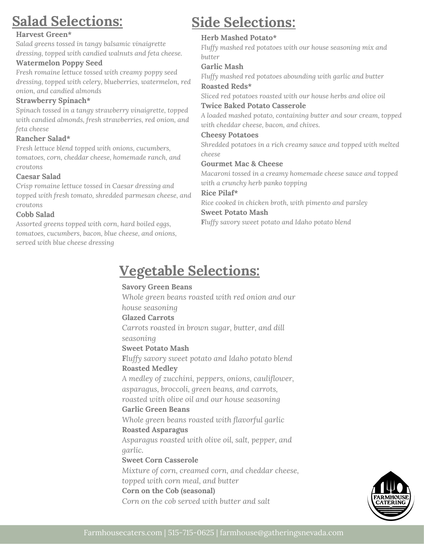# **Salad Selections:**

#### **Harvest Green\***

*Salad greens tossed in tangy balsamic vinaigrette dressing, topped with candied walnuts and feta cheese.*

#### **Watermelon Poppy Seed**

*Fresh romaine lettuce tossed with creamy poppy seed dressing, topped with celery, blueberries, watermelon, red onion, and candied almonds*

#### **Strawberry Spinach\***

*Spinach tossed in a tangy strawberry vinaigrette, topped with candied almonds, fresh strawberries, red onion, and feta cheese*

#### **Rancher Salad\***

F*resh lettuce blend topped with onions, cucumbers, tomatoes, corn, cheddar cheese, homemade ranch, and croutons*

#### **Caesar Salad**

*Crisp romaine lettuce tossed in Caesar dressing and topped with fresh tomato, shredded parmesan cheese, and croutons*

#### **Cobb Salad**

*Assorted greens topped with corn, hard boiled eggs, tomatoes, cucumbers, bacon, blue cheese, and onions, served with blue cheese dressing*

# **Side Selections:**

#### **Herb Mashed Potato\***

*Fluffy mashed red potatoes with our house seasoning mix and butter*

#### **Garlic Mash**

*Fluffy mashed red potatoes abounding with garlic and butter* **Roasted Reds\***

*Sliced red potatoes roasted with our house herbs and olive oil* **Twice Baked Potato Casserole**

*A loaded mashed potato, containing butter and sour cream, topped with cheddar cheese, bacon, and chives.*

#### **Cheesy Potatoes**

*Shredded potatoes in a rich creamy sauce and topped with melted cheese*

#### **Gourmet Mac & Cheese**

*Macaroni tossed in a creamy homemade cheese sauce and topped with a crunchy herb panko topping*

#### **Rice Pilaf\***

*Rice cooked in chicken broth, with pimento and parsley* **Sweet Potato Mash**

**F***luffy savory sweet potato and Idaho potato blend*

# **Vegetable Selections:**

#### **Savory Green Beans** *Whole green beans roasted with red onion and our*

*house seasoning*

#### **Glazed Carrots**

*Carrots roasted in brown sugar, butter, and dill seasoning*

#### **Sweet Potato Mash**

**F***luffy savory sweet potato and Idaho potato blend* **Roasted Medley**

*A medley of zucchini, peppers, onions, cauliflower, asparagus, broccoli, green beans, and carrots,*

*roasted with olive oil and our house seasoning* **Garlic Green Beans**

*Whole green beans roasted with flavorful garlic* **Roasted Asparagus**

*Asparagus roasted with olive oil, salt, pepper, and garlic.*

#### **Sweet Corn Casserole**

*Mixture of corn, creamed corn, and cheddar cheese, topped with corn meal, and butter* **Corn on the Cob (seasonal)** *Corn on the cob served with butter and salt*

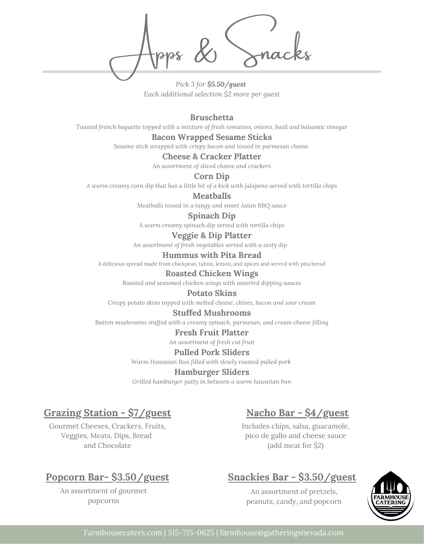Apps & Snacks

*Pick 3 for \$5.50/guest Each additional selection \$2 more per guest*

**Bruschetta**

*Toasted french baguette topped with a mixture of fresh tomatoes, onions, basil and balsamic vinegar*

#### **Bacon Wrapped Sesame Sticks**

*Sesame stick wrapped with crispy bacon and tossed in parmesan cheese*

#### **Cheese & Cracker Platter**

*An assortment of sliced cheese and crackers*

#### **Corn Dip**

A warm creamy corn dip that has a little bit of a kick with jalapeno served with tortilla chips

**Meatballs**

*Meatballs tossed in a tangy and sweet Asian BBQ sauce*

#### **Spinach Dip**

*A warm creamy spinach dip served with tortilla chips*

**Veggie & Dip Platter**

*An assortment of fresh vegetables served with a zesty dip*

#### **Hummus with Pita Bread**

A delicious spread made from chickpeas, tahini, lemon, and spices and served with pita bread

#### **Roasted Chicken Wings**

*Roasted and seasoned chicken wings with assorted dipping sauces*

#### **Potato Skins**

*Crispy potato skins topped with melted cheese, chives, bacon and sour cream*

#### **Stuffed Mushrooms**

*Button mushrooms stuffed with a creamy spinach, parmesan, and cream cheese filling*

#### **Fresh Fruit Platter**

*An assortment of fresh cut fruit*

#### **Pulled Pork Sliders**

*Warm Hawaiian Bun filled with slowly roasted pulled pork*

#### **Hamburger Sliders**

*Grilled hamburger patty in between a warm hawaiian bun*

### **Grazing Station - \$7/guest**

Gourmet Cheeses, Crackers, Fruits, Veggies, Meats, Dips, Bread and Chocolate

### **Nacho Bar - \$4/guest**

Includes chips, salsa, guacamole, pico de gallo and cheese sauce (add meat for \$2)

### **Popcorn Bar- \$3.50/guest**

An assortment of gourmet popcorns

### **Snackies Bar - \$3.50/guest**

An assortment of pretzels, peanuts, candy, and popcorn

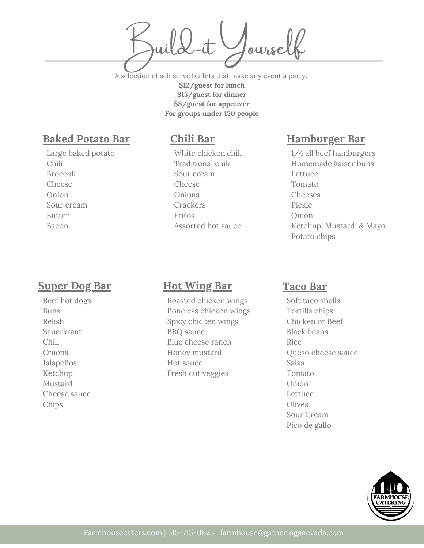Joursel

A selection of self serve buffets that make any event a party. **\$12/guest for lunch \$15/guest for dinner \$8/guest for appetizer For groups under 150 people**

### **Baked Potato Bar**

Large baked potato Chili Broccoli Cheese Onion Sour cream Butter Bacon

### **Super Dog Bar**

Beef hot dogs Buns Relish **Sauerkraut** Chili Onions Jalapeños Ketchup Mustard Cheese sauce Chips

### **Chili Bar**

White chicken chili Traditional chili Sour cream Cheese Onions Crackers Fritos Assorted hot sauce

## 1/4 all beef hamburgers

**Hamburger Bar**

Homemade kaiser buns Lettuce Tomato Cheeses Pickle Onion Ketchup, Mustard, & Mayo Potato chips

### **Hot Wing Bar**

Roasted chicken wings Boneless chicken wings Spicy chicken wings BBQ sauce Blue cheese ranch Honey mustard Hot sauce Fresh cut veggies

### **Taco Bar**

Soft taco shells Tortilla chips Chicken or Beef Black beans Rice Queso cheese sauce Salsa Tomato Onion Lettuce Olives Sour Cream Pico de gallo